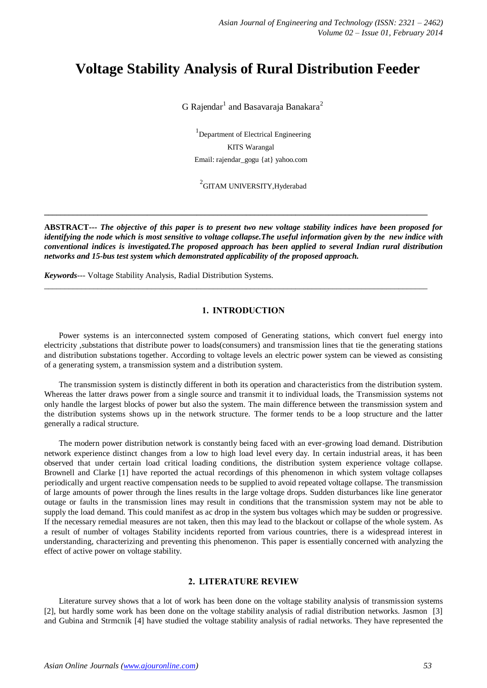# **Voltage Stability Analysis of Rural Distribution Feeder**

 $G$  Rajendar $^1$  and Basavaraja Banakara $^2$ 

<sup>1</sup>Department of Electrical Engineering KITS Warangal Email: rajendar\_gogu {at} yahoo.com

 $^{2}$ GITAM UNIVERSITY,Hyderabad

**ABSTRACT---** *The objective of this paper is to present two new voltage stability indices have been proposed for identifying the node which is most sensitive to voltage collapse.The useful information given by the new indice with conventional indices is investigated.The proposed approach has been applied to several Indian rural distribution networks and 15-bus test system which demonstrated applicability of the proposed approach.*

**\_\_\_\_\_\_\_\_\_\_\_\_\_\_\_\_\_\_\_\_\_\_\_\_\_\_\_\_\_\_\_\_\_\_\_\_\_\_\_\_\_\_\_\_\_\_\_\_\_\_\_\_\_\_\_\_\_\_\_\_\_\_\_\_\_\_\_\_\_\_\_\_\_\_\_\_\_\_\_\_\_\_\_\_\_\_\_\_\_\_\_\_\_**

*Keywords---* Voltage Stability Analysis, Radial Distribution Systems.

# **1. INTRODUCTION**

 $\_$  ,  $\_$  ,  $\_$  ,  $\_$  ,  $\_$  ,  $\_$  ,  $\_$  ,  $\_$  ,  $\_$  ,  $\_$  ,  $\_$  ,  $\_$  ,  $\_$  ,  $\_$  ,  $\_$  ,  $\_$  ,  $\_$  ,  $\_$  ,  $\_$  ,  $\_$  ,  $\_$  ,  $\_$  ,  $\_$  ,  $\_$  ,  $\_$  ,  $\_$  ,  $\_$  ,  $\_$  ,  $\_$  ,  $\_$  ,  $\_$  ,  $\_$  ,  $\_$  ,  $\_$  ,  $\_$  ,  $\_$  ,  $\_$  ,

Power systems is an interconnected system composed of Generating stations, which convert fuel energy into electricity ,substations that distribute power to loads(consumers) and transmission lines that tie the generating stations and distribution substations together. According to voltage levels an electric power system can be viewed as consisting of a generating system, a transmission system and a distribution system.

The transmission system is distinctly different in both its operation and characteristics from the distribution system. Whereas the latter draws power from a single source and transmit it to individual loads, the Transmission systems not only handle the largest blocks of power but also the system. The main difference between the transmission system and the distribution systems shows up in the network structure. The former tends to be a loop structure and the latter generally a radical structure.

The modern power distribution network is constantly being faced with an ever-growing load demand. Distribution network experience distinct changes from a low to high load level every day. In certain industrial areas, it has been observed that under certain load critical loading conditions, the distribution system experience voltage collapse. Brownell and Clarke [1] have reported the actual recordings of this phenomenon in which system voltage collapses periodically and urgent reactive compensation needs to be supplied to avoid repeated voltage collapse. The transmission of large amounts of power through the lines results in the large voltage drops. Sudden disturbances like line generator outage or faults in the transmission lines may result in conditions that the transmission system may not be able to supply the load demand. This could manifest as ac drop in the system bus voltages which may be sudden or progressive. If the necessary remedial measures are not taken, then this may lead to the blackout or collapse of the whole system. As a result of number of voltages Stability incidents reported from various countries, there is a widespread interest in understanding, characterizing and preventing this phenomenon. This paper is essentially concerned with analyzing the effect of active power on voltage stability.

## **2. LITERATURE REVIEW**

Literature survey shows that a lot of work has been done on the voltage stability analysis of transmission systems [2], but hardly some work has been done on the voltage stability analysis of radial distribution networks. Jasmon [3] and Gubina and Strmcnik [4] have studied the voltage stability analysis of radial networks. They have represented the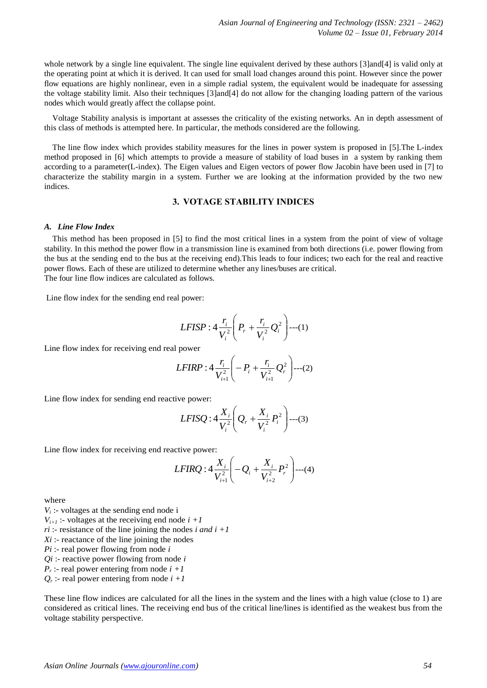whole network by a single line equivalent. The single line equivalent derived by these authors [3]and[4] is valid only at the operating point at which it is derived. It can used for small load changes around this point. However since the power flow equations are highly nonlinear, even in a simple radial system, the equivalent would be inadequate for assessing the voltage stability limit. Also their techniques [3]and[4] do not allow for the changing loading pattern of the various nodes which would greatly affect the collapse point.

Voltage Stability analysis is important at assesses the criticality of the existing networks. An in depth assessment of this class of methods is attempted here. In particular, the methods considered are the following.

The line flow index which provides stability measures for the lines in power system is proposed in [5].The L-index method proposed in [6] which attempts to provide a measure of stability of load buses in a system by ranking them according to a parameter(L-index). The Eigen values and Eigen vectors of power flow Jacobin have been used in [7] to characterize the stability margin in a system. Further we are looking at the information provided by the two new indices.

# **3. VOTAGE STABILITY INDICES**

#### *A. Line Flow Index*

This method has been proposed in [5] to find the most critical lines in a system from the point of view of voltage stability. In this method the power flow in a transmission line is examined from both directions (i.e. power flowing from the bus at the sending end to the bus at the receiving end).This leads to four indices; two each for the real and reactive power flows. Each of these are utilized to determine whether any lines/buses are critical. The four line flow indices are calculated as follows.

Line flow index for the sending end real power:

$$
LFISP: 4\frac{r_i}{V_i^2}\left(P_r + \frac{r_i}{V_i^2}Q_i^2\right) \cdots (1)
$$

Line flow index for receiving end real power

$$
LFIRP: 4\frac{r_i}{V_{i+1}^2}\left(-P_i + \frac{r_i}{V_{i+1}^2}Q_r^2\right) \cdots (2)
$$

Line flow index for sending end reactive power:

$$
LFISQ: 4\frac{X_i}{V_i^2}\bigg(Q_r + \frac{X_i}{V_i^2}P_i^2\bigg) \cdots (3)
$$

Line flow index for receiving end reactive power:

$$
LFIRQ: 4\frac{X_i}{V_{i+1}^2}\bigg(-Q_i + \frac{X_i}{V_{i+2}^2}P_r^2\bigg) \cdots (4)
$$

where

 $V_i$ : voltages at the sending end node i  $V_{i+1}$ : voltages at the receiving end node  $i + 1$  $ri$  :- resistance of the line joining the nodes *i and i +1 Xi* :- reactance of the line joining the nodes *Pi* :- real power flowing from node *i Qi* :- reactive power flowing from node *i*  $P_r$ : real power entering from node  $i + 1$  $Q_r$ :- real power entering from node  $i + 1$ 

These line flow indices are calculated for all the lines in the system and the lines with a high value (close to 1) are considered as critical lines. The receiving end bus of the critical line/lines is identified as the weakest bus from the voltage stability perspective.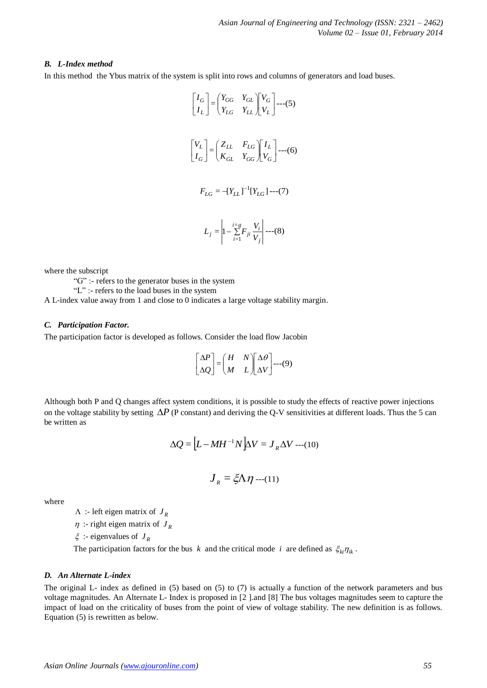## *B. L-Index method*

In this method the Ybus matrix of the system is split into rows and columns of generators and load buses.

$$
\begin{bmatrix} I_G \\ I_L \end{bmatrix} = \begin{bmatrix} Y_{GG} & Y_{GL} \\ Y_{LG} & Y_{LL} \end{bmatrix} \begin{bmatrix} V_G \\ V_L \end{bmatrix} \tag{5}
$$
\n
$$
\begin{bmatrix} V_L \\ I_G \end{bmatrix} = \begin{bmatrix} Z_{LL} & F_{LG} \\ K_{GL} & Y_{GG} \end{bmatrix} \begin{bmatrix} I_L \\ V_G \end{bmatrix} \tag{6}
$$
\n
$$
F_{LG} = -[Y_{LL}]^{-1} [Y_{LG}] \tag{7}
$$
\n
$$
L_j = \begin{vmatrix} i = g \\ 1 - \sum_{i=1}^{1-g} F_{ji} \frac{V_i}{V_j} \end{vmatrix} \tag{8}
$$

where the subscript

"G" :- refers to the generator buses in the system

"L" :- refers to the load buses in the system

A L-index value away from 1 and close to 0 indicates a large voltage stability margin.

#### *C. Participation Factor.*

The participation factor is developed as follows. Consider the load flow Jacobin

$$
\begin{bmatrix} \Delta P \\ \Delta Q \end{bmatrix} = \begin{pmatrix} H & N \\ M & L \end{pmatrix} \begin{bmatrix} \Delta \theta \\ \Delta V \end{bmatrix} \text{---}(9)
$$

Although both P and Q changes affect system conditions, it is possible to study the effects of reactive power injections on the voltage stability by setting  $\Delta P$  (P constant) and deriving the Q-V sensitivities at different loads. Thus the 5 can be written as

$$
\Delta Q = \left[ L - M H^{-1} N \right] \Delta V = J_R \Delta V \cdots (10)
$$

$$
\boldsymbol{J}_{\boldsymbol{R}} = \boldsymbol{\xi} \boldsymbol{\Lambda} \boldsymbol{\eta} \cdots (11)
$$

where

 $\Lambda$  :- left eigen matrix of  $J_R$ 

 $\eta$  :- right eigen matrix of  $J_R$ 

 $\xi$  :- eigenvalues of  $J_R$ 

The participation factors for the bus *k* and the critical mode *i* are defined as  $\xi_{ki}\eta_{ik}$ .

## *D. An Alternate L-index*

The original L- index as defined in (5) based on (5) to (7) is actually a function of the network parameters and bus voltage magnitudes. An Alternate L- Index is proposed in [2 ].and [8] The bus voltages magnitudes seem to capture the impact of load on the criticality of buses from the point of view of voltage stability. The new definition is as follows. Equation (5) is rewritten as below.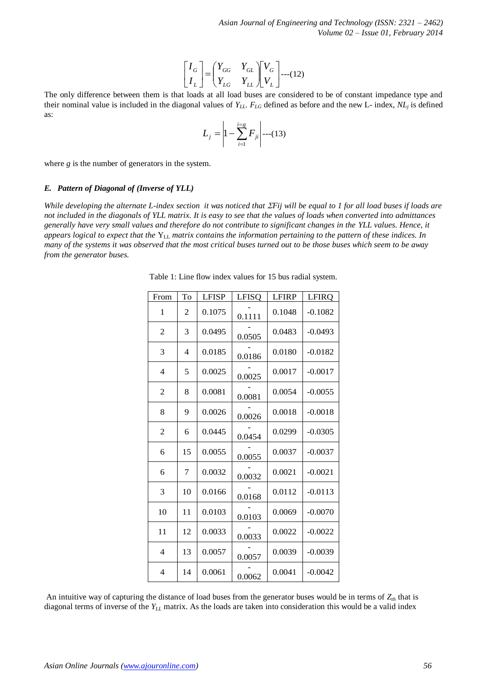$$
\begin{bmatrix} I_G \\ I_L \end{bmatrix} = \begin{pmatrix} Y_{GG} & Y_{GL} \\ Y_{LG} & Y_{LL} \end{pmatrix} \begin{bmatrix} V_G \\ V_L \end{bmatrix} \dots (12)
$$

$$
L_j = \left| 1 - \sum_{i=1}^{i=g} F_{ji} \right| \cdots (13)
$$

#### *E. Pattern of Diagonal of (Inverse of YLL)*

| as:                                                                                                                                                                                                                                                                                                                                                                                                                                                                                                                                                                                                                                                                |                |                |              | $L_j = \left  1 - \sum_{i=1}^{i=g} F_{ji} \right $ ---(13) |              |                                                           |    |
|--------------------------------------------------------------------------------------------------------------------------------------------------------------------------------------------------------------------------------------------------------------------------------------------------------------------------------------------------------------------------------------------------------------------------------------------------------------------------------------------------------------------------------------------------------------------------------------------------------------------------------------------------------------------|----------------|----------------|--------------|------------------------------------------------------------|--------------|-----------------------------------------------------------|----|
| where $g$ is the number of generators in the system.                                                                                                                                                                                                                                                                                                                                                                                                                                                                                                                                                                                                               |                |                |              |                                                            |              |                                                           |    |
| E. Pattern of Diagonal of (Inverse of YLL)                                                                                                                                                                                                                                                                                                                                                                                                                                                                                                                                                                                                                         |                |                |              |                                                            |              |                                                           |    |
| While developing the alternate L-index section it was noticed that $\Sigma$ Fij will be equal to 1 for all load buses if loads<br>not included in the diagonals of YLL matrix. It is easy to see that the values of loads when converted into admittance<br>generally have very small values and therefore do not contribute to significant changes in the YLL values. Hence, it<br>appears logical to expect that the $Y_{LL}$ matrix contains the information pertaining to the pattern of these indices. In<br>many of the systems it was observed that the most critical buses turned out to be those buses which seem to be away<br>from the generator buses. |                |                |              |                                                            |              |                                                           |    |
|                                                                                                                                                                                                                                                                                                                                                                                                                                                                                                                                                                                                                                                                    |                |                |              |                                                            |              | Table 1: Line flow index values for 15 bus radial system. |    |
|                                                                                                                                                                                                                                                                                                                                                                                                                                                                                                                                                                                                                                                                    | From           | To             | <b>LFISP</b> | <b>LFISQ</b>                                               | <b>LFIRP</b> | LFIRQ                                                     |    |
|                                                                                                                                                                                                                                                                                                                                                                                                                                                                                                                                                                                                                                                                    | 1              | 2              | 0.1075       | 0.1111                                                     | 0.1048       | $-0.1082$                                                 |    |
|                                                                                                                                                                                                                                                                                                                                                                                                                                                                                                                                                                                                                                                                    | 2              | 3              | 0.0495       | 0.0505                                                     | 0.0483       | $-0.0493$                                                 |    |
|                                                                                                                                                                                                                                                                                                                                                                                                                                                                                                                                                                                                                                                                    | 3              | $\overline{4}$ | 0.0185       | 0.0186                                                     | 0.0180       | $-0.0182$                                                 |    |
|                                                                                                                                                                                                                                                                                                                                                                                                                                                                                                                                                                                                                                                                    | 4              | 5              | 0.0025       | 0.0025                                                     | 0.0017       | $-0.0017$                                                 |    |
|                                                                                                                                                                                                                                                                                                                                                                                                                                                                                                                                                                                                                                                                    | 2              | 8              | 0.0081       | 0.0081                                                     | 0.0054       | $-0.0055$                                                 |    |
|                                                                                                                                                                                                                                                                                                                                                                                                                                                                                                                                                                                                                                                                    | 8              | 9              | 0.0026       | 0.0026                                                     | 0.0018       | $-0.0018$                                                 |    |
|                                                                                                                                                                                                                                                                                                                                                                                                                                                                                                                                                                                                                                                                    | $\overline{c}$ | 6              | 0.0445       | 0.0454                                                     | 0.0299       | $-0.0305$                                                 |    |
|                                                                                                                                                                                                                                                                                                                                                                                                                                                                                                                                                                                                                                                                    | 6              | 15             | 0.0055       | 0.0055                                                     | 0.0037       | $-0.0037$                                                 |    |
|                                                                                                                                                                                                                                                                                                                                                                                                                                                                                                                                                                                                                                                                    | 6              | $\tau$         | 0.0032       | 0.0032                                                     | 0.0021       | $-0.0021$                                                 |    |
|                                                                                                                                                                                                                                                                                                                                                                                                                                                                                                                                                                                                                                                                    | 3              | 10             | 0.0166       | 0.0168                                                     | 0.0112       | $-0.0113$                                                 |    |
|                                                                                                                                                                                                                                                                                                                                                                                                                                                                                                                                                                                                                                                                    | 10             | 11             | 0.0103       | 0.0103                                                     | 0.0069       | $-0.0070$                                                 |    |
|                                                                                                                                                                                                                                                                                                                                                                                                                                                                                                                                                                                                                                                                    | 11             | 12             | 0.0033       | 0.0033                                                     | 0.0022       | $-0.0022$                                                 |    |
|                                                                                                                                                                                                                                                                                                                                                                                                                                                                                                                                                                                                                                                                    | $\overline{4}$ | 13             | 0.0057       | 0.0057                                                     | 0.0039       | $-0.0039$                                                 |    |
|                                                                                                                                                                                                                                                                                                                                                                                                                                                                                                                                                                                                                                                                    | $\overline{4}$ | 14             | 0.0061       | 0.0062                                                     | 0.0041       | $-0.0042$                                                 |    |
| An intuitive way of capturing the distance of load buses from the generator buses would be in terms of $Z_{th}$ that is<br>diagonal terms of inverse of the $Y_{LL}$ matrix. As the loads are taken into consideration this would be a valid index                                                                                                                                                                                                                                                                                                                                                                                                                 |                |                |              |                                                            |              |                                                           |    |
| Asian Online Journals (www.ajouronline.com)                                                                                                                                                                                                                                                                                                                                                                                                                                                                                                                                                                                                                        |                |                |              |                                                            |              |                                                           | 56 |
|                                                                                                                                                                                                                                                                                                                                                                                                                                                                                                                                                                                                                                                                    |                |                |              |                                                            |              |                                                           |    |

Table 1: Line flow index values for 15 bus radial system.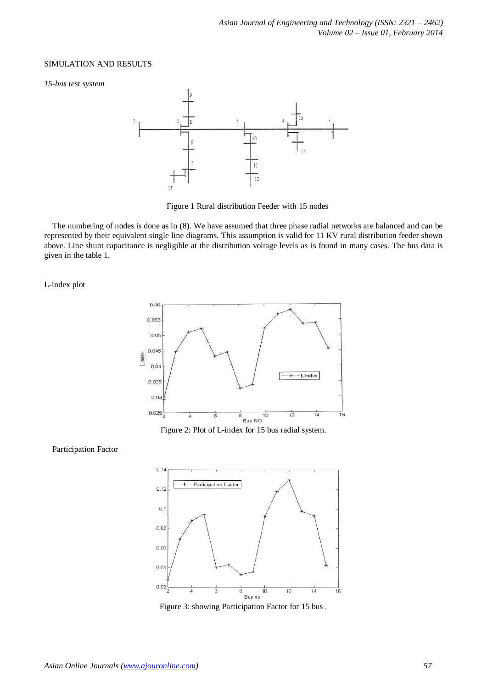#### SIMULATION AND RESULTS

*15-bus test system*



Figure 1 Rural distribution Feeder with 15 nodes

The numbering of nodes is done as in (8). We have assumed that three phase radial networks are balanced and can be represented by their equivalent single line diagrams. This assumption is valid for 11 KV rural distribution feeder shown above. Line shunt capacitance is negligible at the distribution voltage levels as is found in many cases. The bus data is given in the table 1.

L-index plot



#### Participation Factor



Figure 3: showing Participation Factor for 15 bus .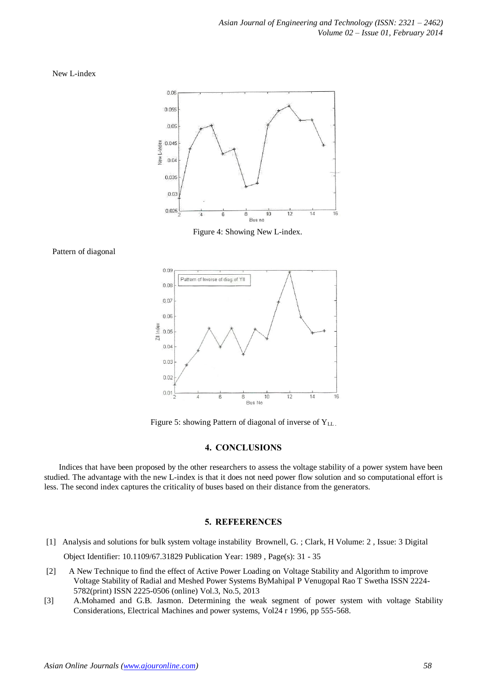New L-index



Figure 4: Showing New L-index.

Pattern of diagonal



Figure 5: showing Pattern of diagonal of inverse of Y<sub>LL</sub>.

## **4. CONCLUSIONS**

Indices that have been proposed by the other researchers to assess the voltage stability of a power system have been studied. The advantage with the new L-index is that it does not need power flow solution and so computational effort is less. The second index captures the criticality of buses based on their distance from the generators.

## **5. REFEERENCES**

- [1] Analysis and solutions for bulk system [voltage instability](http://ieeexplore.ieee.org/xpl/articleDetails.jsp?tp=&arnumber=31829&queryText%3DAnalysis+and+solutions+for+bulk+system+voltage+instability+Brownell+and+Clarke) [Brownell, G.](http://ieeexplore.ieee.org/search/searchresult.jsp?searchWithin=p_Authors:.QT.Brownell,%20G..QT.&searchWithin=p_Author_Ids:38168589400&newsearch=true) ; [Clark, H](http://ieeexplore.ieee.org/search/searchresult.jsp?searchWithin=p_Authors:.QT.Clark,%20H..QT.&searchWithin=p_Author_Ids:37841142600&newsearch=true) Volume: 2 , [Issue: 3 D](http://ieeexplore.ieee.org/xpl/tocresult.jsp?isnumber=1385)igital Object Identifier: [10.1109/67.31829](http://dx.doi.org/10.1109/67.31829) Publication Year: 1989 , Page(s): 31 - 35
- [2] A New Technique to find the effect of Active Power Loading on Voltage Stability and Algorithm to improve Voltage Stability of Radial and Meshed Power Systems ByMahipal P Venugopal Rao T Swetha ISSN 2224- 5782(print) ISSN 2225-0506 (online) Vol.3, No.5, 2013
- [3] A.Mohamed and G.B. Jasmon. Determining the weak segment of power system with voltage Stability Considerations, Electrical Machines and power systems, Vol24 r 1996, pp 555-568.